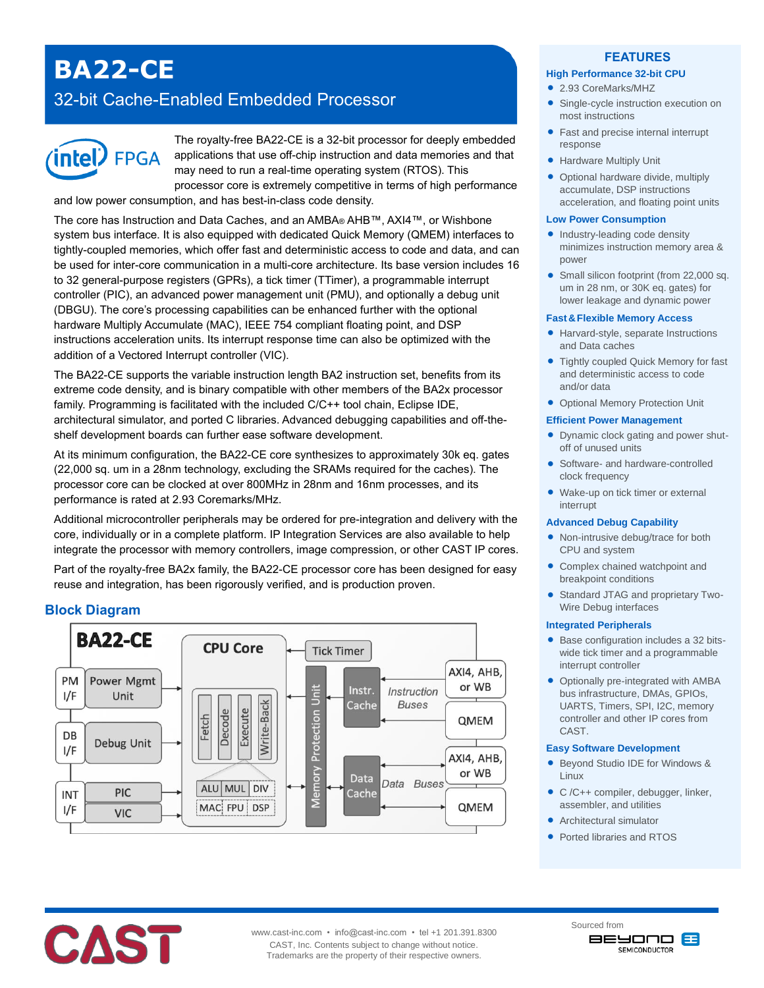# **BA22-CE**

## 32-bit Cache-Enabled Embedded Processor



The royalty-free BA22-CE is a 32-bit processor for deeply embedded applications that use off-chip instruction and data memories and that may need to run a real-time operating system (RTOS). This processor core is extremely competitive in terms of high performance and low power consumption, and has best-in-class code density.

The core has Instruction and Data Caches, and an AMBA® AHB™, AXI4™, or Wishbone system bus interface. It is also equipped with dedicated Quick Memory (QMEM) interfaces to tightly-coupled memories, which offer fast and deterministic access to code and data, and can be used for inter-core communication in a multi-core architecture. Its base version includes 16 to 32 general-purpose registers (GPRs), a tick timer (TTimer), a programmable interrupt controller (PIC), an advanced power management unit (PMU), and optionally a debug unit (DBGU). The core's processing capabilities can be enhanced further with the optional hardware Multiply Accumulate (MAC), IEEE 754 compliant floating point, and DSP instructions acceleration units. Its interrupt response time can also be optimized with the addition of a Vectored Interrupt controller (VIC).

The BA22-CE supports the variable instruction length BA2 instruction set, benefits from its extreme code density, and is binary compatible with other members of the BA2x processor family. Programming is facilitated with the included C/C++ tool chain, Eclipse IDE, architectural simulator, and ported C libraries. Advanced debugging capabilities and off-theshelf development boards can further ease software development.

At its minimum configuration, the BA22-CE core synthesizes to approximately 30k eq. gates (22,000 sq. um in a 28nm technology, excluding the SRAMs required for the caches). The processor core can be clocked at over 800MHz in 28nm and 16nm processes, and its performance is rated at 2.93 Coremarks/MHz.

Additional microcontroller peripherals may be ordered for pre-integration and delivery with the core, individually or in a complete platform. IP Integration Services are also available to help integrate the processor with memory controllers, image compression, or other CAST IP cores.

Part of the royalty-free BA2x family, the BA22-CE processor core has been designed for easy reuse and integration, has been rigorously verified, and is production proven.

## **Block Diagram**



#### **FEATURES**

#### **High Performance 32-bit CPU**

- 2.93 CoreMarks/MHZ
- Single-cycle instruction execution on most instructions
- Fast and precise internal interrupt response
- **Hardware Multiply Unit**
- Optional hardware divide, multiply accumulate, DSP instructions acceleration, and floating point units

#### **Low Power Consumption**

- Industry-leading code density minimizes instruction memory area & power
- Small silicon footprint (from 22,000 sq. um in 28 nm, or 30K eq. gates) for lower leakage and dynamic power

#### **Fast&Flexible Memory Access**

- Harvard-style, separate Instructions and Data caches
- Tightly coupled Quick Memory for fast and deterministic access to code and/or data
- Optional Memory Protection Unit

#### **Efficient Power Management**

- Dynamic clock gating and power shutoff of unused units
- Software- and hardware-controlled clock frequency
- Wake-up on tick timer or external interrupt

#### **Advanced Debug Capability**

- Non-intrusive debug/trace for both CPU and system
- Complex chained watchpoint and breakpoint conditions
- Standard JTAG and proprietary Two-Wire Debug interfaces

#### **Integrated Peripherals**

- Base configuration includes a 32 bitswide tick timer and a programmable interrupt controller
- Optionally pre-integrated with AMBA bus infrastructure, DMAs, GPIOs, UARTS, Timers, SPI, I2C, memory controller and other IP cores from CAST.

#### **Easy Software Development**

- Beyond Studio IDE for Windows & Linux
- C /C++ compiler, debugger, linker, assembler, and utilities
- Architectural simulator
- Ported libraries and RTOS